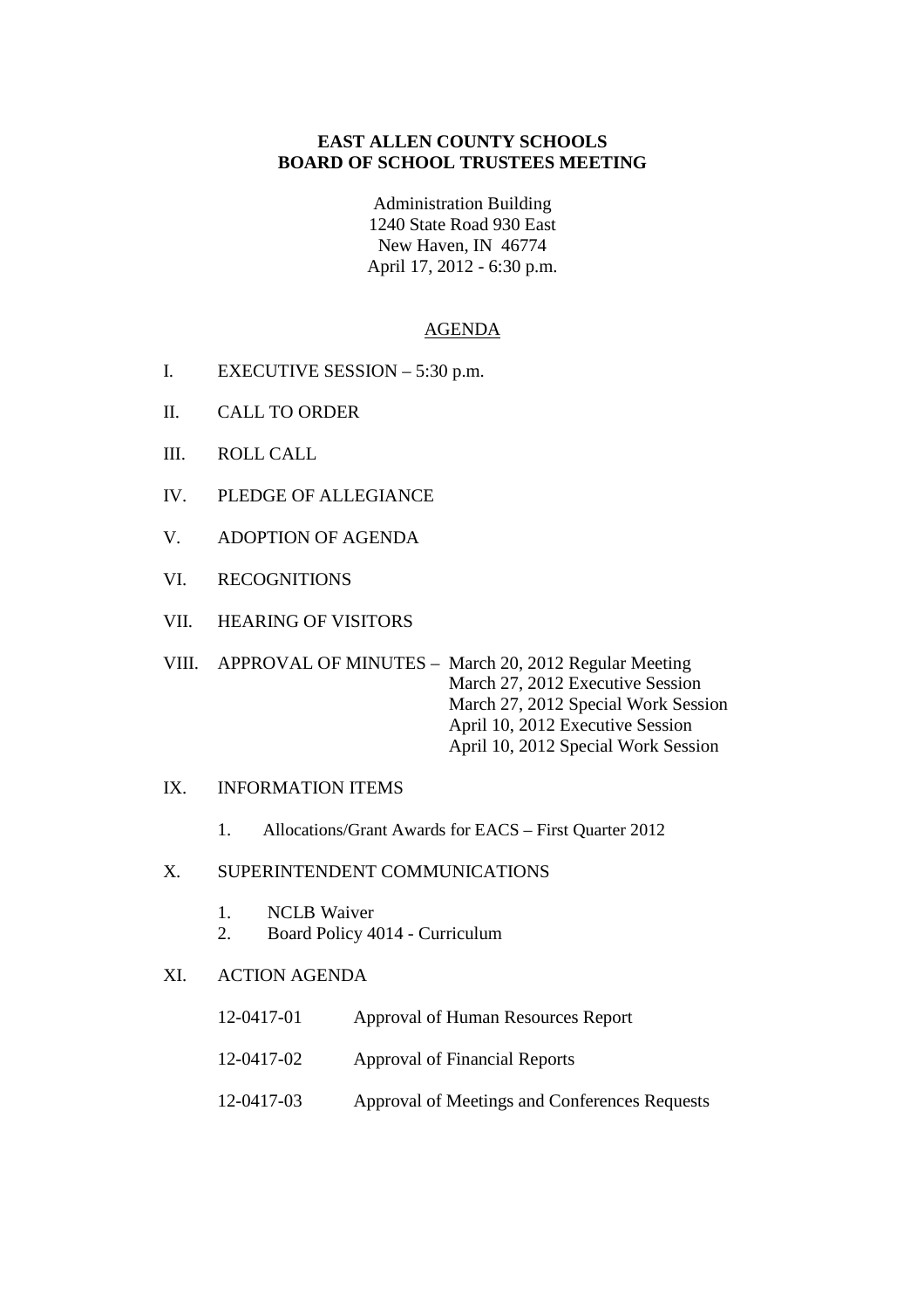# **EAST ALLEN COUNTY SCHOOLS BOARD OF SCHOOL TRUSTEES MEETING**

Administration Building 1240 State Road 930 East New Haven, IN 46774 April 17, 2012 - 6:30 p.m.

### AGENDA

- I. EXECUTIVE SESSION 5:30 p.m.
- II. CALL TO ORDER
- III. ROLL CALL
- IV. PLEDGE OF ALLEGIANCE
- V. ADOPTION OF AGENDA
- VI. RECOGNITIONS
- VII. HEARING OF VISITORS

VIII. APPROVAL OF MINUTES – March 20, 2012 Regular Meeting March 27, 2012 Executive Session March 27, 2012 Special Work Session April 10, 2012 Executive Session April 10, 2012 Special Work Session

#### IX. INFORMATION ITEMS

1. Allocations/Grant Awards for EACS – First Quarter 2012

### X. SUPERINTENDENT COMMUNICATIONS

- 1. NCLB Waiver
- 2. Board Policy 4014 Curriculum

### XI. ACTION AGENDA

- 12-0417-01 Approval of Human Resources Report
- 12-0417-02 Approval of Financial Reports
- 12-0417-03 Approval of Meetings and Conferences Requests